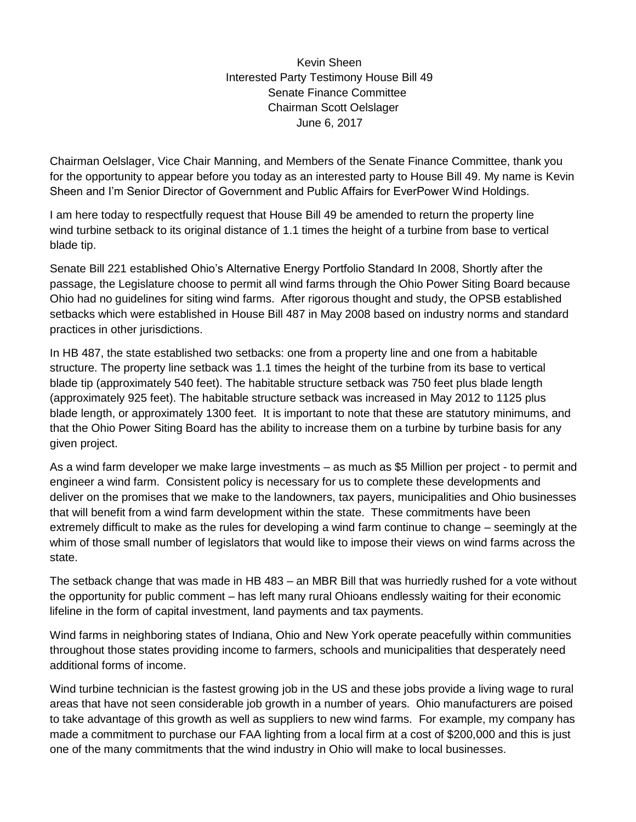Kevin Sheen Interested Party Testimony House Bill 49 Senate Finance Committee Chairman Scott Oelslager June 6, 2017

Chairman Oelslager, Vice Chair Manning, and Members of the Senate Finance Committee, thank you for the opportunity to appear before you today as an interested party to House Bill 49. My name is Kevin Sheen and I'm Senior Director of Government and Public Affairs for EverPower Wind Holdings.

I am here today to respectfully request that House Bill 49 be amended to return the property line wind turbine setback to its original distance of 1.1 times the height of a turbine from base to vertical blade tip.

Senate Bill 221 established Ohio's Alternative Energy Portfolio Standard In 2008, Shortly after the passage, the Legislature choose to permit all wind farms through the Ohio Power Siting Board because Ohio had no guidelines for siting wind farms. After rigorous thought and study, the OPSB established setbacks which were established in House Bill 487 in May 2008 based on industry norms and standard practices in other jurisdictions.

In HB 487, the state established two setbacks: one from a property line and one from a habitable structure. The property line setback was 1.1 times the height of the turbine from its base to vertical blade tip (approximately 540 feet). The habitable structure setback was 750 feet plus blade length (approximately 925 feet). The habitable structure setback was increased in May 2012 to 1125 plus blade length, or approximately 1300 feet. It is important to note that these are statutory minimums, and that the Ohio Power Siting Board has the ability to increase them on a turbine by turbine basis for any given project.

As a wind farm developer we make large investments – as much as \$5 Million per project - to permit and engineer a wind farm. Consistent policy is necessary for us to complete these developments and deliver on the promises that we make to the landowners, tax payers, municipalities and Ohio businesses that will benefit from a wind farm development within the state. These commitments have been extremely difficult to make as the rules for developing a wind farm continue to change – seemingly at the whim of those small number of legislators that would like to impose their views on wind farms across the state.

The setback change that was made in HB 483 – an MBR Bill that was hurriedly rushed for a vote without the opportunity for public comment – has left many rural Ohioans endlessly waiting for their economic lifeline in the form of capital investment, land payments and tax payments.

Wind farms in neighboring states of Indiana, Ohio and New York operate peacefully within communities throughout those states providing income to farmers, schools and municipalities that desperately need additional forms of income.

Wind turbine technician is the fastest growing job in the US and these jobs provide a living wage to rural areas that have not seen considerable job growth in a number of years. Ohio manufacturers are poised to take advantage of this growth as well as suppliers to new wind farms. For example, my company has made a commitment to purchase our FAA lighting from a local firm at a cost of \$200,000 and this is just one of the many commitments that the wind industry in Ohio will make to local businesses.